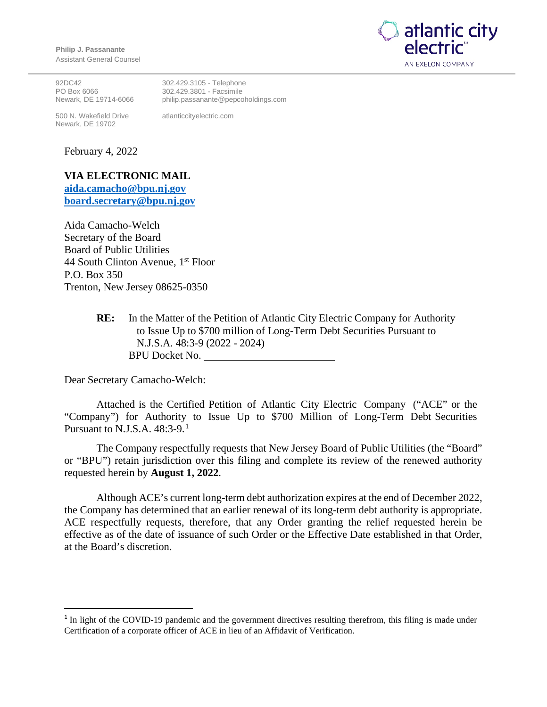**Philip J. Passanante** Assistant General Counsel



92DC42 PO Box 6066 Newark, DE 19714-6066

500 N. Wakefield Drive Newark, DE 19702

302.429.3105 - Telephone 302.429.3801 - Facsimile philip.passanante@pepcoholdings.com

atlanticcityelectric.com

February 4, 2022

## **VIA ELECTRONIC MAIL**

**[aida.camacho@bpu.nj.gov](mailto:aida.camacho@bpu.nj.gov) [board.secretary@bpu.nj.gov](mailto:board.secretary@bpu.nj.gov)**

Aida Camacho-Welch Secretary of the Board Board of Public Utilities 44 South Clinton Avenue, 1<sup>st</sup> Floor P.O. Box 350 Trenton, New Jersey 08625-0350

> **RE:** In the Matter of the Petition of Atlantic City Electric Company for Authority to Issue Up to \$700 million of Long-Term Debt Securities Pursuant to N.J.S.A. 48:3-9 (2022 - 2024) BPU Docket No. EF22020044

Dear Secretary Camacho-Welch:

Attached is the Certified Petition of Atlantic City Electric Company ("ACE" or the "Company") for Authority to Issue Up to \$700 Million of Long-Term Debt Securities Pursuant to N.J.S.A. 48:3-9.<sup>[1](#page-0-0)</sup>

The Company respectfully requests that New Jersey Board of Public Utilities (the "Board" or "BPU") retain jurisdiction over this filing and complete its review of the renewed authority requested herein by **August 1, 2022**.

Although ACE's current long-term debt authorization expires at the end of December 2022, the Company has determined that an earlier renewal of its long-term debt authority is appropriate. ACE respectfully requests, therefore, that any Order granting the relief requested herein be effective as of the date of issuance of such Order or the Effective Date established in that Order, at the Board's discretion.

<span id="page-0-0"></span><sup>&</sup>lt;sup>1</sup> In light of the COVID-19 pandemic and the government directives resulting therefrom, this filing is made under Certification of a corporate officer of ACE in lieu of an Affidavit of Verification.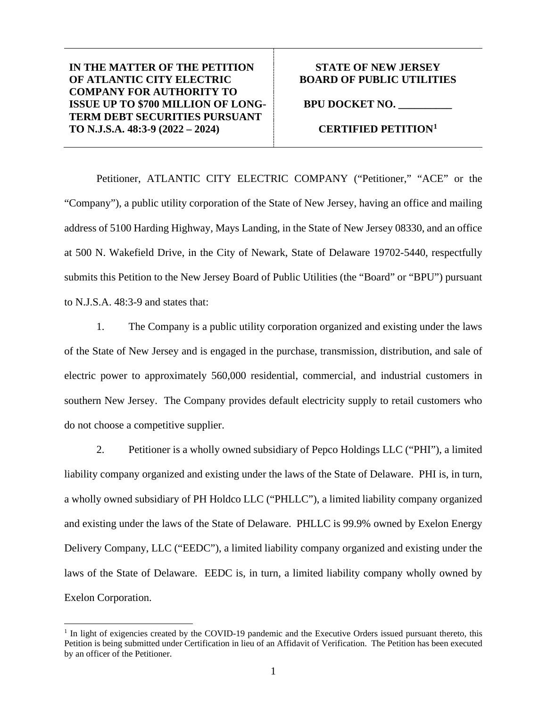## **STATE OF NEW JERSEY BOARD OF PUBLIC UTILITIES**

**BPU DOCKET NO. \_\_\_\_\_\_\_\_\_\_**  ()

## **CERTIFIED PETITION[1](#page-2-0)**

Petitioner, ATLANTIC CITY ELECTRIC COMPANY ("Petitioner," "ACE" or the "Company"), a public utility corporation of the State of New Jersey, having an office and mailing address of 5100 Harding Highway, Mays Landing, in the State of New Jersey 08330, and an office at 500 N. Wakefield Drive, in the City of Newark, State of Delaware 19702-5440, respectfully submits this Petition to the New Jersey Board of Public Utilities (the "Board" or "BPU") pursuant to N.J.S.A. 48:3-9 and states that:

1. The Company is a public utility corporation organized and existing under the laws of the State of New Jersey and is engaged in the purchase, transmission, distribution, and sale of electric power to approximately 560,000 residential, commercial, and industrial customers in southern New Jersey. The Company provides default electricity supply to retail customers who do not choose a competitive supplier.

2. Petitioner is a wholly owned subsidiary of Pepco Holdings LLC ("PHI"), a limited liability company organized and existing under the laws of the State of Delaware. PHI is, in turn, a wholly owned subsidiary of PH Holdco LLC ("PHLLC"), a limited liability company organized and existing under the laws of the State of Delaware. PHLLC is 99.9% owned by Exelon Energy Delivery Company, LLC ("EEDC"), a limited liability company organized and existing under the laws of the State of Delaware. EEDC is, in turn, a limited liability company wholly owned by Exelon Corporation.

<span id="page-2-0"></span><sup>&</sup>lt;sup>1</sup> In light of exigencies created by the COVID-19 pandemic and the Executive Orders issued pursuant thereto, this Petition is being submitted under Certification in lieu of an Affidavit of Verification. The Petition has been executed by an officer of the Petitioner.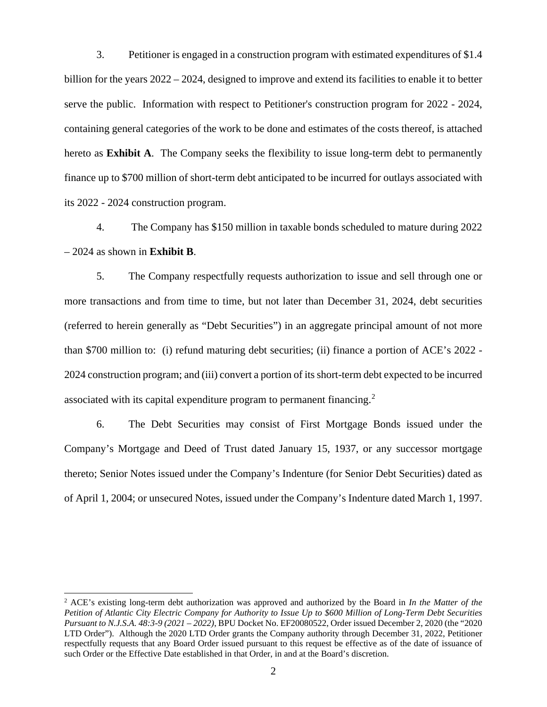3. Petitioner is engaged in a construction program with estimated expenditures of \$1.4 billion for the years 2022 – 2024, designed to improve and extend its facilities to enable it to better serve the public. Information with respect to Petitioner's construction program for 2022 - 2024, containing general categories of the work to be done and estimates of the costs thereof, is attached hereto as **Exhibit A**. The Company seeks the flexibility to issue long-term debt to permanently finance up to \$700 million of short-term debt anticipated to be incurred for outlays associated with its 2022 - 2024 construction program.

4. The Company has \$150 million in taxable bonds scheduled to mature during 2022 – 2024 as shown in **Exhibit B**.

5. The Company respectfully requests authorization to issue and sell through one or more transactions and from time to time, but not later than December 31, 2024, debt securities (referred to herein generally as "Debt Securities") in an aggregate principal amount of not more than \$700 million to: (i) refund maturing debt securities; (ii) finance a portion of ACE's 2022 - 2024 construction program; and (iii) convert a portion of its short-term debt expected to be incurred associated with its capital expenditure program to permanent financing.[2](#page-3-0)

6. The Debt Securities may consist of First Mortgage Bonds issued under the Company's Mortgage and Deed of Trust dated January 15, 1937, or any successor mortgage thereto; Senior Notes issued under the Company's Indenture (for Senior Debt Securities) dated as of April 1, 2004; or unsecured Notes, issued under the Company's Indenture dated March 1, 1997.

<span id="page-3-0"></span><sup>2</sup> ACE's existing long-term debt authorization was approved and authorized by the Board in *In the Matter of the Petition of Atlantic City Electric Company for Authority to Issue Up to \$600 Million of Long-Term Debt Securities Pursuant to N.J.S.A. 48:3-9 (2021 – 2022)*, BPU Docket No. EF20080522, Order issued December 2, 2020 (the "2020 LTD Order"). Although the 2020 LTD Order grants the Company authority through December 31, 2022, Petitioner respectfully requests that any Board Order issued pursuant to this request be effective as of the date of issuance of such Order or the Effective Date established in that Order, in and at the Board's discretion.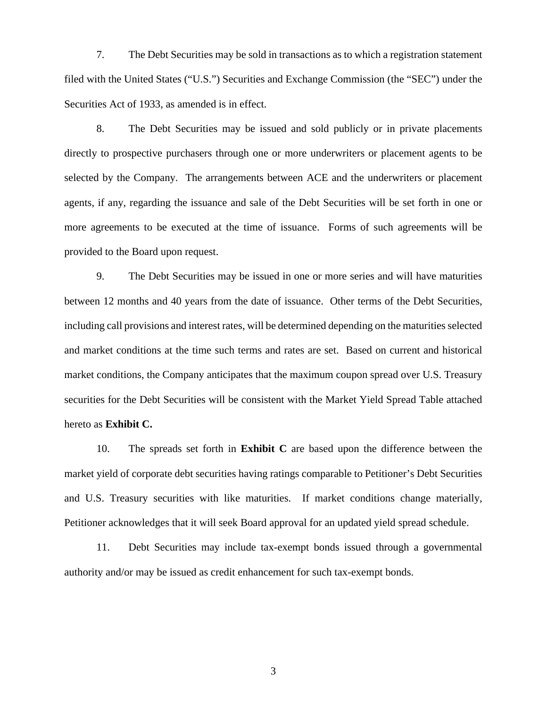7. The Debt Securities may be sold in transactions as to which a registration statement filed with the United States ("U.S.") Securities and Exchange Commission (the "SEC") under the Securities Act of 1933, as amended is in effect.

8. The Debt Securities may be issued and sold publicly or in private placements directly to prospective purchasers through one or more underwriters or placement agents to be selected by the Company. The arrangements between ACE and the underwriters or placement agents, if any, regarding the issuance and sale of the Debt Securities will be set forth in one or more agreements to be executed at the time of issuance. Forms of such agreements will be provided to the Board upon request.

9. The Debt Securities may be issued in one or more series and will have maturities between 12 months and 40 years from the date of issuance. Other terms of the Debt Securities, including call provisions and interest rates, will be determined depending on the maturities selected and market conditions at the time such terms and rates are set. Based on current and historical market conditions, the Company anticipates that the maximum coupon spread over U.S. Treasury securities for the Debt Securities will be consistent with the Market Yield Spread Table attached hereto as **Exhibit C.**

10. The spreads set forth in **Exhibit C** are based upon the difference between the market yield of corporate debt securities having ratings comparable to Petitioner's Debt Securities and U.S. Treasury securities with like maturities. If market conditions change materially, Petitioner acknowledges that it will seek Board approval for an updated yield spread schedule.

11. Debt Securities may include tax-exempt bonds issued through a governmental authority and/or may be issued as credit enhancement for such tax-exempt bonds.

3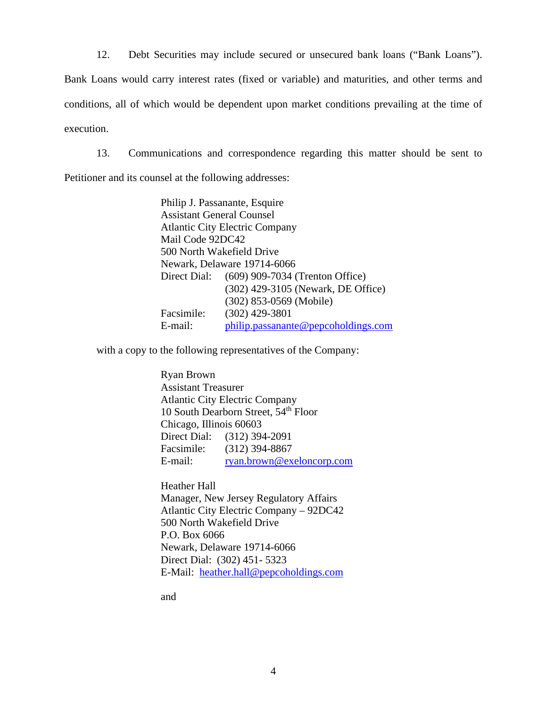12. Debt Securities may include secured or unsecured bank loans ("Bank Loans").

Bank Loans would carry interest rates (fixed or variable) and maturities, and other terms and conditions, all of which would be dependent upon market conditions prevailing at the time of execution.

13. Communications and correspondence regarding this matter should be sent to

Petitioner and its counsel at the following addresses:

Philip J. Passanante, Esquire Assistant General Counsel Atlantic City Electric Company Mail Code 92DC42 500 North Wakefield Drive Newark, Delaware 19714-6066 Direct Dial: (609) 909-7034 (Trenton Office) (302) 429-3105 (Newark, DE Office) (302) 853-0569 (Mobile) Facsimile: (302) 429-3801 E-mail: [philip.passanante@pepcoholdings.com](mailto:philip.passanante@pepcoholdings.com)

with a copy to the following representatives of the Company:

Ryan Brown Assistant Treasurer Atlantic City Electric Company 10 South Dearborn Street, 54<sup>th</sup> Floor Chicago, Illinois 60603 Direct Dial: (312) 394-2091 Facsimile: (312) 394-8867 E-mail: [ryan.brown@exeloncorp.com](mailto:ryan.brown@exeloncorp.com)

Heather Hall Manager, New Jersey Regulatory Affairs Atlantic City Electric Company – 92DC42 500 North Wakefield Drive P.O. Box 6066 Newark, Delaware 19714-6066 Direct Dial: (302) 451- 5323 E-Mail: [heather.hall@pepcoholdings.com](mailto:heather.hall@pepcoholdings.com)

and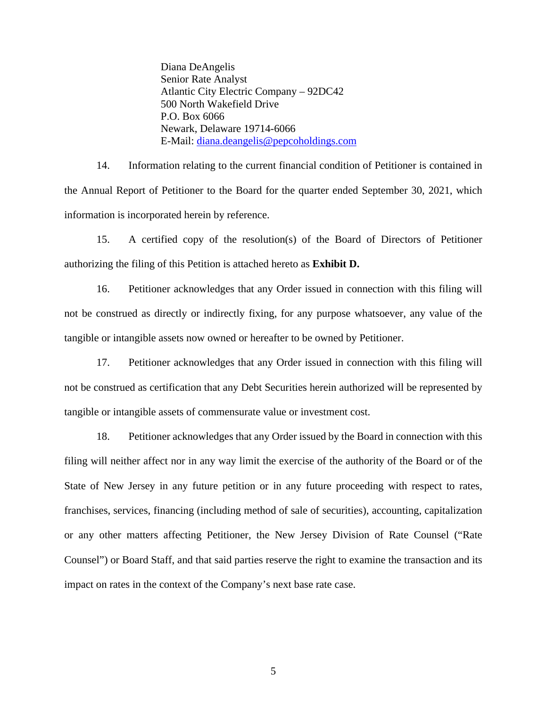Diana DeAngelis Senior Rate Analyst Atlantic City Electric Company – 92DC42 500 North Wakefield Drive P.O. Box 6066 Newark, Delaware 19714-6066 E-Mail: [diana.deangelis@pepcoholdings.com](mailto:diana.deangelis@pepcoholdings.com)

14. Information relating to the current financial condition of Petitioner is contained in the Annual Report of Petitioner to the Board for the quarter ended September 30, 2021, which information is incorporated herein by reference.

15. A certified copy of the resolution(s) of the Board of Directors of Petitioner authorizing the filing of this Petition is attached hereto as **Exhibit D.** 

16. Petitioner acknowledges that any Order issued in connection with this filing will not be construed as directly or indirectly fixing, for any purpose whatsoever, any value of the tangible or intangible assets now owned or hereafter to be owned by Petitioner.

17. Petitioner acknowledges that any Order issued in connection with this filing will not be construed as certification that any Debt Securities herein authorized will be represented by tangible or intangible assets of commensurate value or investment cost.

18. Petitioner acknowledges that any Order issued by the Board in connection with this filing will neither affect nor in any way limit the exercise of the authority of the Board or of the State of New Jersey in any future petition or in any future proceeding with respect to rates, franchises, services, financing (including method of sale of securities), accounting, capitalization or any other matters affecting Petitioner, the New Jersey Division of Rate Counsel ("Rate Counsel") or Board Staff, and that said parties reserve the right to examine the transaction and its impact on rates in the context of the Company's next base rate case.

5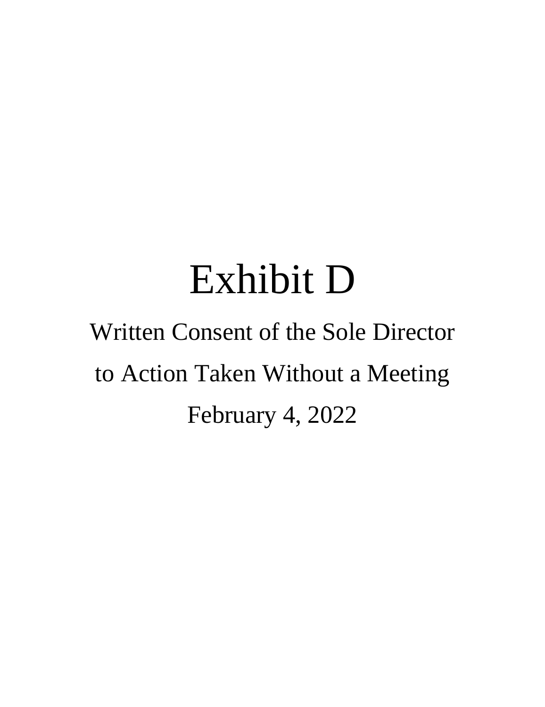Diana DeAngelis **Senior Rate Analyst Atlantic City Electric Company – 92DC42** 500 North Wakefield Drive P.O. Box 6066 Newark, Delaware 19714-6066 E-Mail: diana.deangelis@pepcoholdings.com

 $14$ Information relating to the current financial condition of Petitioner is contained in the Annual Report of Petitioner to the Board for the quarter ended September 30, 2021, which information is incorporated herein by reference.

15. A certified copy of the resolution(s) of the Board of Directors of Petitioner authorizing the filing of this Petition is attached hereto as Exhibit D.

 $16<sub>1</sub>$ Petitioner acknowledges that any Order issued in connection with this filing will not be construed as directly or indirectly fixing, for any purpose whatsoever, any value of the tangible or intangible assets now owned or hereafter to be owned by Petitioner.

17. Petitioner acknowledges that any Order issued in connection with this filing will not be construed as certification that any Debt Securities herein authorized will be represented by tangible or intangible assets of commensurate value or investment cost.

18. Petitioner acknowledges that any Order issued by the Board in connection with this filing will neither affect nor in any way limit the exercise of the authority of the Board or of the State of New Jersey in any future petition or in any future proceeding with respect to rates, franchises, services, financing (including method of sale of securities), accounting, capitalization or any other matters affecting Petitioner, the New Jersey Division of Rate Counsel ("Rate Counsel") or Board Staff, and that said parties reserve the right to examine the transaction and its impact on rates in the context of the Company's next base rate case.

5